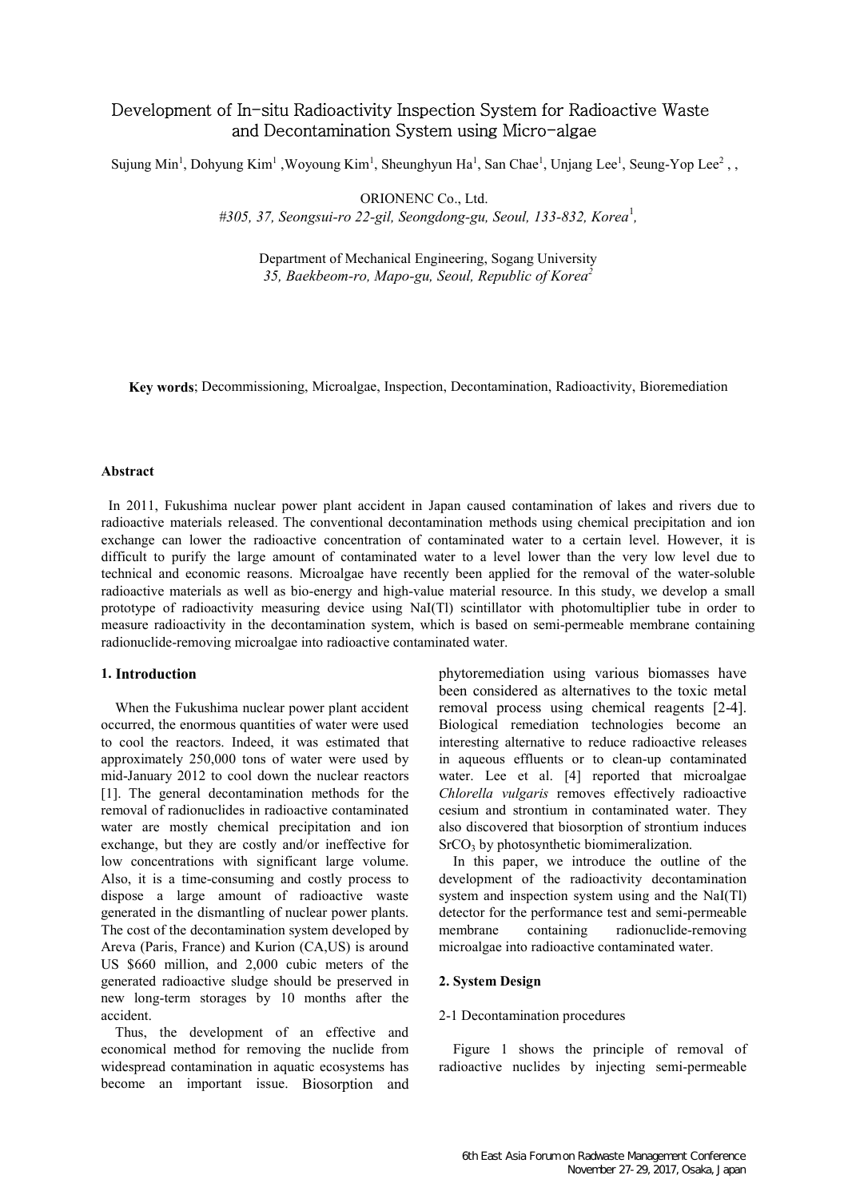# Development of In-situ Radioactivity Inspection System for Radioactive Waste and Decontamination System using Micro-algae

Sujung Min<sup>1</sup>, Dohyung Kim<sup>1</sup>, Woyoung Kim<sup>1</sup>, Sheunghyun Ha<sup>1</sup>, San Chae<sup>1</sup>, Unjang Lee<sup>1</sup>, Seung-Yop Lee<sup>2</sup>,,

ORIONENC Co., Ltd.

#305, 37, Seongsui-ro 22-gil, Seongdong-gu, Seoul, 133-832, Korea<sup>1</sup>,

Department of Mechanical Engineering, Sogang University 35, Baekbeom-ro, Mapo-gu, Seoul, Republic of Korea<sup>2</sup>

Key words; Decommissioning, Microalgae, Inspection, Decontamination, Radioactivity, Bioremediation

### Abstract

In 2011, Fukushima nuclear power plant accident in Japan caused contamination of lakes and rivers due to radioactive materials released. The conventional decontamination methods using chemical precipitation and ion exchange can lower the radioactive concentration of contaminated water to a certain level. However, it is difficult to purify the large amount of contaminated water to a level lower than the very low level due to technical and economic reasons. Microalgae have recently been applied for the removal of the water-soluble radioactive materials as well as bio-energy and high-value material resource. In this study, we develop a small prototype of radioactivity measuring device using NaI(Tl) scintillator with photomultiplier tube in order to measure radioactivity in the decontamination system, which is based on semi-permeable membrane containing radionuclide-removing microalgae into radioactive contaminated water.

### 1. Introduction

When the Fukushima nuclear power plant accident occurred, the enormous quantities of water were used to cool the reactors. Indeed, it was estimated that approximately 250,000 tons of water were used by mid-January 2012 to cool down the nuclear reactors [1]. The general decontamination methods for the removal of radionuclides in radioactive contaminated water are mostly chemical precipitation and ion exchange, but they are costly and/or ineffective for low concentrations with significant large volume. Also, it is a time-consuming and costly process to dispose a large amount of radioactive waste generated in the dismantling of nuclear power plants. The cost of the decontamination system developed by Areva (Paris, France) and Kurion (CA,US) is around US \$660 million, and 2,000 cubic meters of the generated radioactive sludge should be preserved in new long-term storages by 10 months after the accident.

Thus, the development of an effective and economical method for removing the nuclide from widespread contamination in aquatic ecosystems has become an important issue. Biosorption and phytoremediation using various biomasses have been considered as alternatives to the toxic metal removal process using chemical reagents [2-4]. Biological remediation technologies become an interesting alternative to reduce radioactive releases in aqueous effluents or to clean-up contaminated water. Lee et al. [4] reported that microalgae Chlorella vulgaris removes effectively radioactive cesium and strontium in contaminated water. They also discovered that biosorption of strontium induces SrCO<sub>3</sub> by photosynthetic biomimeralization.

In this paper, we introduce the outline of the development of the radioactivity decontamination system and inspection system using and the NaI(Tl) detector for the performance test and semi-permeable membrane containing radionuclide-removing microalgae into radioactive contaminated water.

## 2. System Design

### 2-1 Decontamination procedures

Figure 1 shows the principle of removal of radioactive nuclides by injecting semi-permeable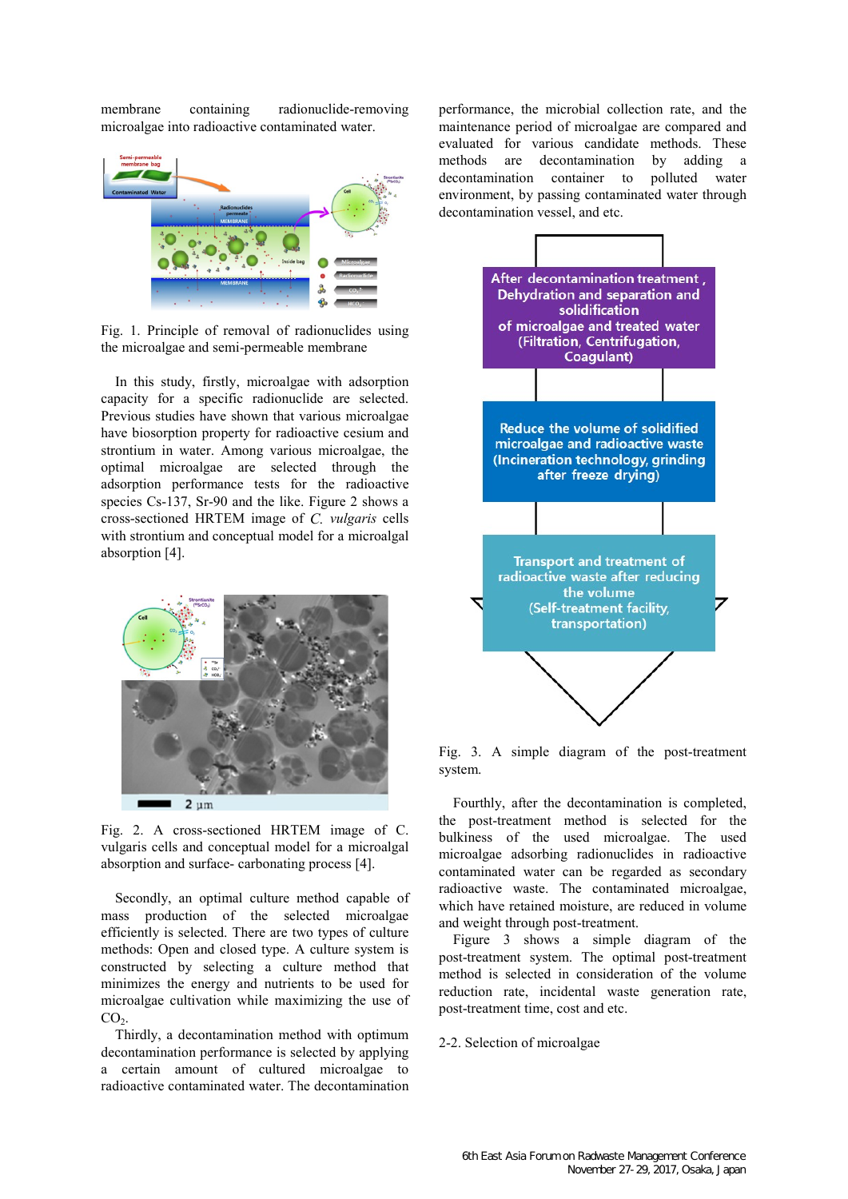membrane containing radionuclide-removing microalgae into radioactive contaminated water.



Fig. 1. Principle of removal of radionuclides using the microalgae and semi-permeable membrane

In this study, firstly, microalgae with adsorption capacity for a specific radionuclide are selected. Previous studies have shown that various microalgae have biosorption property for radioactive cesium and strontium in water. Among various microalgae, the optimal microalgae are selected through the adsorption performance tests for the radioactive species Cs-137, Sr-90 and the like. Figure 2 shows a cross-sectioned HRTEM image of C. vulgaris cells with strontium and conceptual model for a microalgal absorption [4].



Fig. 2. A cross-sectioned HRTEM image of C. vulgaris cells and conceptual model for a microalgal absorption and surface- carbonating process [4].

Secondly, an optimal culture method capable of mass production of the selected microalgae efficiently is selected. There are two types of culture methods: Open and closed type. A culture system is constructed by selecting a culture method that minimizes the energy and nutrients to be used for microalgae cultivation while maximizing the use of  $CO<sub>2</sub>$ .

Thirdly, a decontamination method with optimum decontamination performance is selected by applying a certain amount of cultured microalgae to radioactive contaminated water. The decontamination

performance, the microbial collection rate, and the maintenance period of microalgae are compared and evaluated for various candidate methods. These methods are decontamination by adding a decontamination container to polluted water environment, by passing contaminated water through decontamination vessel, and etc.



Fig. 3. A simple diagram of the post-treatment system.

Fourthly, after the decontamination is completed, the post-treatment method is selected for the bulkiness of the used microalgae. The used microalgae adsorbing radionuclides in radioactive contaminated water can be regarded as secondary radioactive waste. The contaminated microalgae, which have retained moisture, are reduced in volume and weight through post-treatment.

Figure 3 shows a simple diagram of the post-treatment system. The optimal post-treatment method is selected in consideration of the volume reduction rate, incidental waste generation rate, post-treatment time, cost and etc.

2-2. Selection of microalgae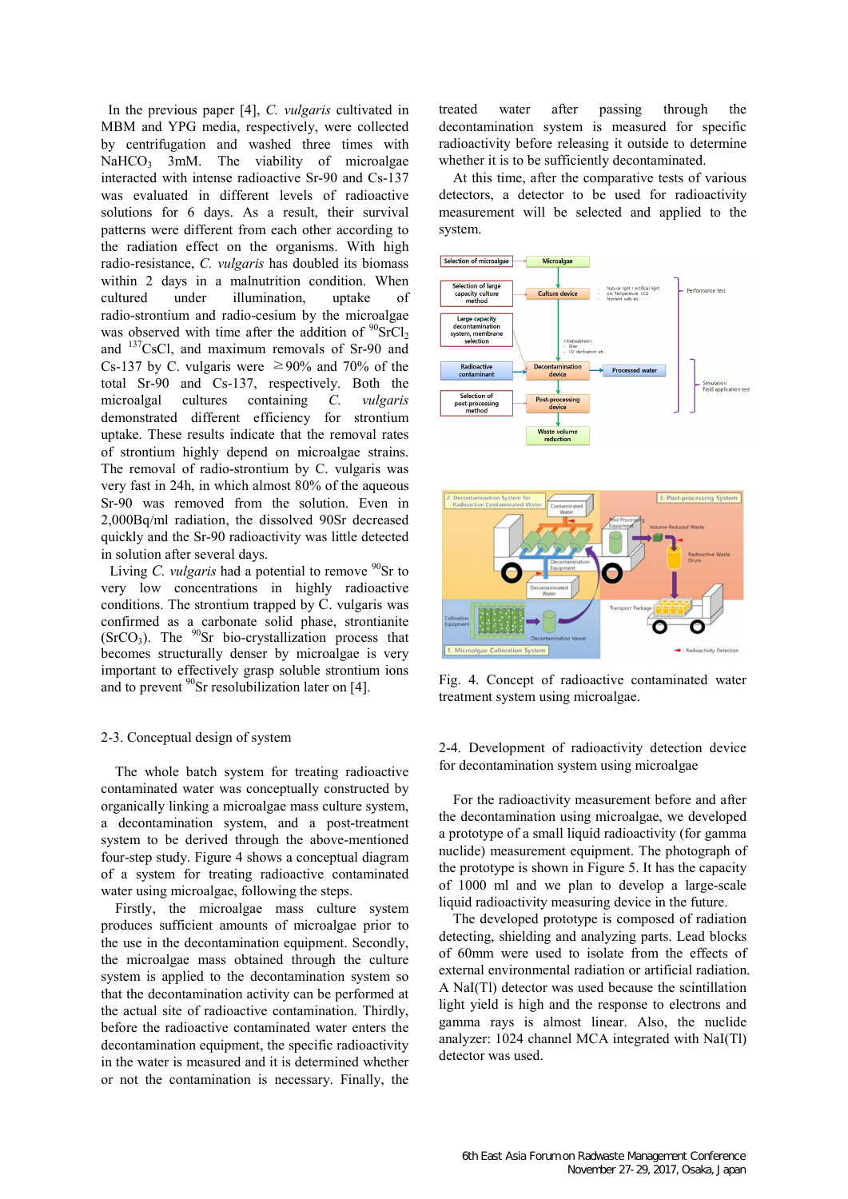In the previous paper [4], C. vulgaris cultivated in MBM and YPG media, respectively, were collected by centrifugation and washed three times with NaHCO<sub>3</sub> 3mM. The viability of microalgae interacted with intense radioactive Sr-90 and Cs-137 was evaluated in different levels of radioactive solutions for 6 days. As a result, their survival patterns were different from each other according to the radiation effect on the organisms. With high radio-resistance, C. vulgaris has doubled its biomass within 2 days in a malnutrition condition. When cultured under illumination, uptake of radio-strontium and radio-cesium by the microalgae was observed with time after the addition of  $\rm{^{90}SrCl_2}$ and <sup>137</sup>CsCl, and maximum removals of Sr-90 and Cs-137 by C. vulgaris were  $\geq 90\%$  and 70% of the total Sr-90 and Cs-137, respectively. Both the microalgal cultures containing C. vulgaris demonstrated different efficiency for strontium uptake. These results indicate that the removal rates of strontium highly depend on microalgae strains. The removal of radio-strontium by C. vulgaris was very fast in 24h, in which almost 80% of the aqueous Sr-90 was removed from the solution. Even in 2,000Bq/ml radiation, the dissolved 90Sr decreased quickly and the Sr-90 radioactivity was little detected in solution after several days.

Living C, vulgaris had a potential to remove  $90$ Sr to very low concentrations in highly radioactive conditions. The strontium trapped by C. vulgaris was confirmed as a carbonate solid phase, strontianite  $(SrCO<sub>3</sub>)$ . The  $90Sr$  bio-crystallization process that becomes structurally denser by microalgae is very important to effectively grasp soluble strontium ions and to prevent  $^{90}$ Sr resolubilization later on [4].

#### 2-3. Conceptual design of system

The whole batch system for treating radioactive contaminated water was conceptually constructed by organically linking a microalgae mass culture system, a decontamination system, and a post-treatment system to be derived through the above-mentioned four-step study. Figure 4 shows a conceptual diagram of a system for treating radioactive contaminated water using microalgae, following the steps.

Firstly, the microalgae mass culture system produces sufficient amounts of microalgae prior to the use in the decontamination equipment. Secondly, the microalgae mass obtained through the culture system is applied to the decontamination system so that the decontamination activity can be performed at the actual site of radioactive contamination. Thirdly, before the radioactive contaminated water enters the decontamination equipment, the specific radioactivity in the water is measured and it is determined whether or not the contamination is necessary. Finally, the treated water after passing through the decontamination system is measured for specific radioactivity before releasing it outside to determine whether it is to be sufficiently decontaminated.

At this time, after the comparative tests of various detectors, a detector to be used for radioactivity measurement will be selected and applied to the system.



Fig. 4. Concept of radioactive contaminated water treatment system using microalgae.

2-4. Development of radioactivity detection device for decontamination system using microalgae

For the radioactivity measurement before and after the decontamination using microalgae, we developed a prototype of a small liquid radioactivity (for gamma nuclide) measurement equipment. The photograph of the prototype is shown in Figure 5. It has the capacity of 1000 ml and we plan to develop a large-scale liquid radioactivity measuring device in the future.

The developed prototype is composed of radiation detecting, shielding and analyzing parts. Lead blocks of 60mm were used to isolate from the effects of external environmental radiation or artificial radiation. A NaI(Tl) detector was used because the scintillation light yield is high and the response to electrons and gamma rays is almost linear. Also, the nuclide analyzer: 1024 channel MCA integrated with NaI(Tl) detector was used.